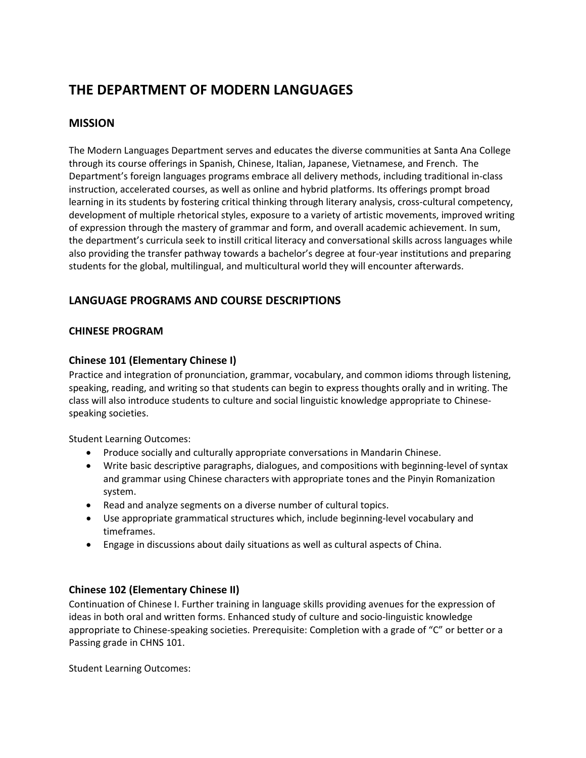# **THE DEPARTMENT OF MODERN LANGUAGES**

# **MISSION**

The Modern Languages Department serves and educates the diverse communities at Santa Ana College through its course offerings in Spanish, Chinese, Italian, Japanese, Vietnamese, and French. The Department's foreign languages programs embrace all delivery methods, including traditional in-class instruction, accelerated courses, as well as online and hybrid platforms. Its offerings prompt broad learning in its students by fostering critical thinking through literary analysis, cross-cultural competency, development of multiple rhetorical styles, exposure to a variety of artistic movements, improved writing of expression through the mastery of grammar and form, and overall academic achievement. In sum, the department's curricula seek to instill critical literacy and conversational skills across languages while also providing the transfer pathway towards a bachelor's degree at four-year institutions and preparing students for the global, multilingual, and multicultural world they will encounter afterwards.

# **LANGUAGE PROGRAMS AND COURSE DESCRIPTIONS**

# **CHINESE PROGRAM**

# **Chinese 101 (Elementary Chinese I)**

Practice and integration of pronunciation, grammar, vocabulary, and common idioms through listening, speaking, reading, and writing so that students can begin to express thoughts orally and in writing. The class will also introduce students to culture and social linguistic knowledge appropriate to Chinesespeaking societies.

Student Learning Outcomes:

- Produce socially and culturally appropriate conversations in Mandarin Chinese.
- Write basic descriptive paragraphs, dialogues, and compositions with beginning-level of syntax and grammar using Chinese characters with appropriate tones and the Pinyin Romanization system.
- Read and analyze segments on a diverse number of cultural topics.
- Use appropriate grammatical structures which, include beginning-level vocabulary and timeframes.
- Engage in discussions about daily situations as well as cultural aspects of China.

# **Chinese 102 (Elementary Chinese II)**

Continuation of Chinese I. Further training in language skills providing avenues for the expression of ideas in both oral and written forms. Enhanced study of culture and socio-linguistic knowledge appropriate to Chinese-speaking societies. Prerequisite: Completion with a grade of "C" or better or a Passing grade in CHNS 101.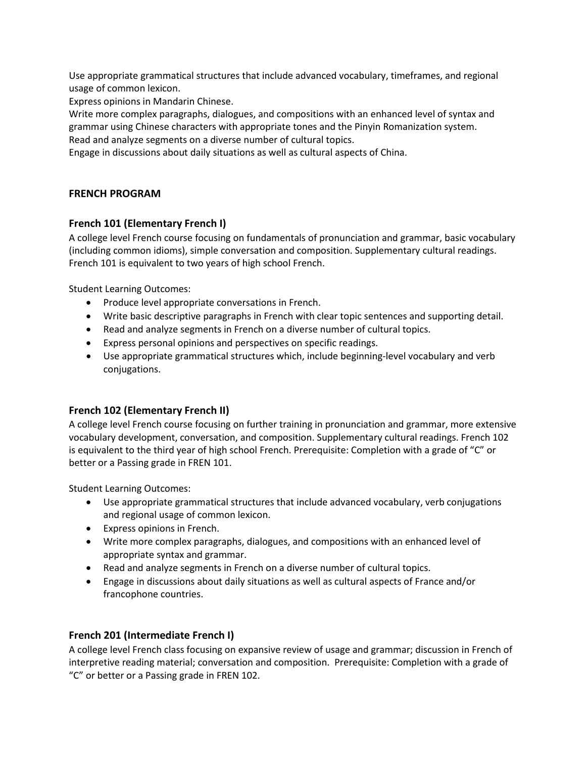Use appropriate grammatical structures that include advanced vocabulary, timeframes, and regional usage of common lexicon.

Express opinions in Mandarin Chinese.

Write more complex paragraphs, dialogues, and compositions with an enhanced level of syntax and grammar using Chinese characters with appropriate tones and the Pinyin Romanization system. Read and analyze segments on a diverse number of cultural topics.

Engage in discussions about daily situations as well as cultural aspects of China.

#### **FRENCH PROGRAM**

#### **French 101 (Elementary French I)**

A college level French course focusing on fundamentals of pronunciation and grammar, basic vocabulary (including common idioms), simple conversation and composition. Supplementary cultural readings. French 101 is equivalent to two years of high school French.

Student Learning Outcomes:

- Produce level appropriate conversations in French.
- Write basic descriptive paragraphs in French with clear topic sentences and supporting detail.
- Read and analyze segments in French on a diverse number of cultural topics.
- Express personal opinions and perspectives on specific readings.
- Use appropriate grammatical structures which, include beginning-level vocabulary and verb conjugations.

## **French 102 (Elementary French II)**

A college level French course focusing on further training in pronunciation and grammar, more extensive vocabulary development, conversation, and composition. Supplementary cultural readings. French 102 is equivalent to the third year of high school French. Prerequisite: Completion with a grade of "C" or better or a Passing grade in FREN 101.

Student Learning Outcomes:

- Use appropriate grammatical structures that include advanced vocabulary, verb conjugations and regional usage of common lexicon.
- Express opinions in French.
- Write more complex paragraphs, dialogues, and compositions with an enhanced level of appropriate syntax and grammar.
- Read and analyze segments in French on a diverse number of cultural topics.
- Engage in discussions about daily situations as well as cultural aspects of France and/or francophone countries.

## **French 201 (Intermediate French I)**

A college level French class focusing on expansive review of usage and grammar; discussion in French of interpretive reading material; conversation and composition. Prerequisite: Completion with a grade of "C" or better or a Passing grade in FREN 102.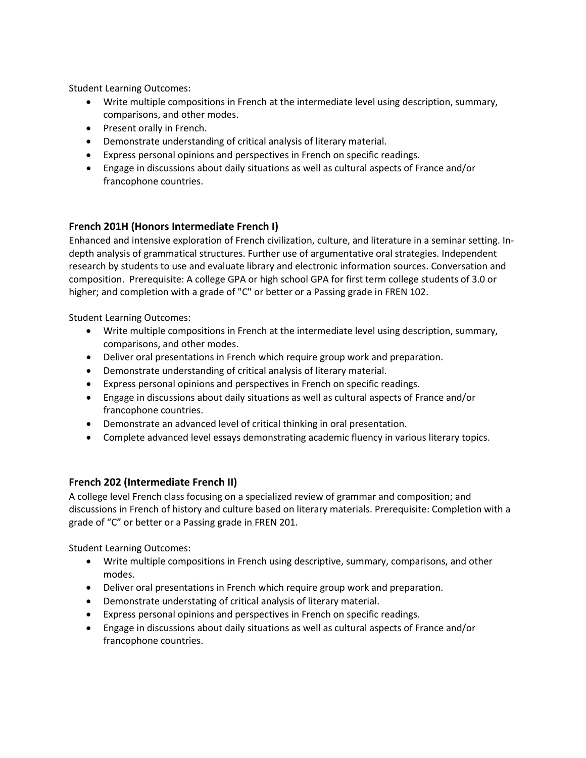Student Learning Outcomes:

- Write multiple compositions in French at the intermediate level using description, summary, comparisons, and other modes.
- Present orally in French.
- Demonstrate understanding of critical analysis of literary material.
- Express personal opinions and perspectives in French on specific readings.
- Engage in discussions about daily situations as well as cultural aspects of France and/or francophone countries.

# **French 201H (Honors Intermediate French I)**

Enhanced and intensive exploration of French civilization, culture, and literature in a seminar setting. Indepth analysis of grammatical structures. Further use of argumentative oral strategies. Independent research by students to use and evaluate library and electronic information sources. Conversation and composition. Prerequisite: A college GPA or high school GPA for first term college students of 3.0 or higher; and completion with a grade of "C" or better or a Passing grade in FREN 102.

Student Learning Outcomes:

- Write multiple compositions in French at the intermediate level using description, summary, comparisons, and other modes.
- Deliver oral presentations in French which require group work and preparation.
- Demonstrate understanding of critical analysis of literary material.
- Express personal opinions and perspectives in French on specific readings.
- Engage in discussions about daily situations as well as cultural aspects of France and/or francophone countries.
- Demonstrate an advanced level of critical thinking in oral presentation.
- Complete advanced level essays demonstrating academic fluency in various literary topics.

## **French 202 (Intermediate French II)**

A college level French class focusing on a specialized review of grammar and composition; and discussions in French of history and culture based on literary materials. Prerequisite: Completion with a grade of "C" or better or a Passing grade in FREN 201.

- Write multiple compositions in French using descriptive, summary, comparisons, and other modes.
- Deliver oral presentations in French which require group work and preparation.
- Demonstrate understating of critical analysis of literary material.
- Express personal opinions and perspectives in French on specific readings.
- Engage in discussions about daily situations as well as cultural aspects of France and/or francophone countries.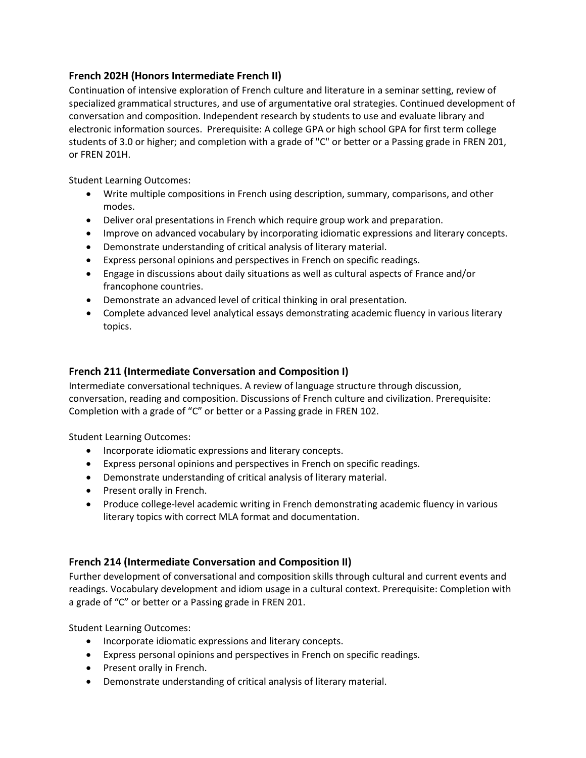# **French 202H (Honors Intermediate French II)**

Continuation of intensive exploration of French culture and literature in a seminar setting, review of specialized grammatical structures, and use of argumentative oral strategies. Continued development of conversation and composition. Independent research by students to use and evaluate library and electronic information sources. Prerequisite: A college GPA or high school GPA for first term college students of 3.0 or higher; and completion with a grade of "C" or better or a Passing grade in FREN 201, or FREN 201H.

Student Learning Outcomes:

- Write multiple compositions in French using description, summary, comparisons, and other modes.
- Deliver oral presentations in French which require group work and preparation.
- Improve on advanced vocabulary by incorporating idiomatic expressions and literary concepts.
- Demonstrate understanding of critical analysis of literary material.
- Express personal opinions and perspectives in French on specific readings.
- Engage in discussions about daily situations as well as cultural aspects of France and/or francophone countries.
- Demonstrate an advanced level of critical thinking in oral presentation.
- Complete advanced level analytical essays demonstrating academic fluency in various literary topics.

# **French 211 (Intermediate Conversation and Composition I)**

Intermediate conversational techniques. A review of language structure through discussion, conversation, reading and composition. Discussions of French culture and civilization. Prerequisite: Completion with a grade of "C" or better or a Passing grade in FREN 102.

Student Learning Outcomes:

- Incorporate idiomatic expressions and literary concepts.
- Express personal opinions and perspectives in French on specific readings.
- Demonstrate understanding of critical analysis of literary material.
- Present orally in French.
- Produce college-level academic writing in French demonstrating academic fluency in various literary topics with correct MLA format and documentation.

## **French 214 (Intermediate Conversation and Composition II)**

Further development of conversational and composition skills through cultural and current events and readings. Vocabulary development and idiom usage in a cultural context. Prerequisite: Completion with a grade of "C" or better or a Passing grade in FREN 201.

- Incorporate idiomatic expressions and literary concepts.
- Express personal opinions and perspectives in French on specific readings.
- Present orally in French.
- Demonstrate understanding of critical analysis of literary material.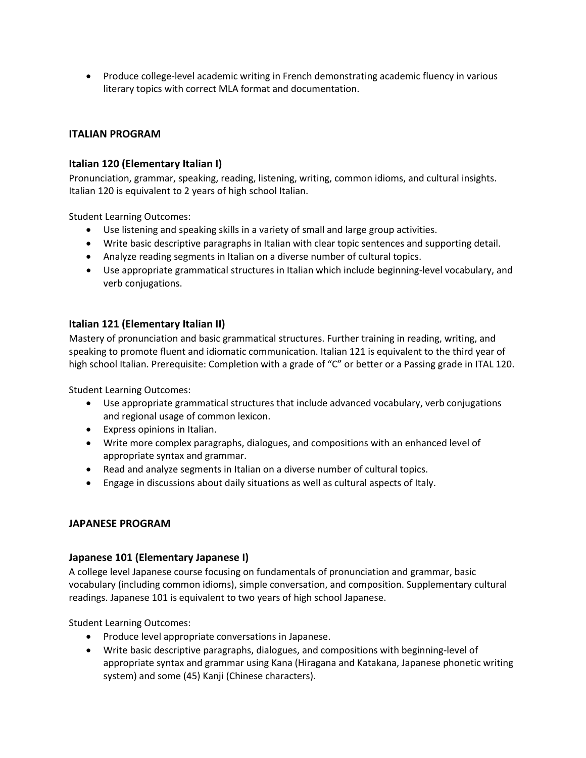• Produce college-level academic writing in French demonstrating academic fluency in various literary topics with correct MLA format and documentation.

# **ITALIAN PROGRAM**

## **Italian 120 (Elementary Italian I)**

Pronunciation, grammar, speaking, reading, listening, writing, common idioms, and cultural insights. Italian 120 is equivalent to 2 years of high school Italian.

Student Learning Outcomes:

- Use listening and speaking skills in a variety of small and large group activities.
- Write basic descriptive paragraphs in Italian with clear topic sentences and supporting detail.
- Analyze reading segments in Italian on a diverse number of cultural topics.
- Use appropriate grammatical structures in Italian which include beginning-level vocabulary, and verb conjugations.

## **Italian 121 (Elementary Italian II)**

Mastery of pronunciation and basic grammatical structures. Further training in reading, writing, and speaking to promote fluent and idiomatic communication. Italian 121 is equivalent to the third year of high school Italian. Prerequisite: Completion with a grade of "C" or better or a Passing grade in ITAL 120.

Student Learning Outcomes:

- Use appropriate grammatical structures that include advanced vocabulary, verb conjugations and regional usage of common lexicon.
- Express opinions in Italian.
- Write more complex paragraphs, dialogues, and compositions with an enhanced level of appropriate syntax and grammar.
- Read and analyze segments in Italian on a diverse number of cultural topics.
- Engage in discussions about daily situations as well as cultural aspects of Italy.

#### **JAPANESE PROGRAM**

## **Japanese 101 (Elementary Japanese I)**

A college level Japanese course focusing on fundamentals of pronunciation and grammar, basic vocabulary (including common idioms), simple conversation, and composition. Supplementary cultural readings. Japanese 101 is equivalent to two years of high school Japanese.

- Produce level appropriate conversations in Japanese.
- Write basic descriptive paragraphs, dialogues, and compositions with beginning-level of appropriate syntax and grammar using Kana (Hiragana and Katakana, Japanese phonetic writing system) and some (45) Kanji (Chinese characters).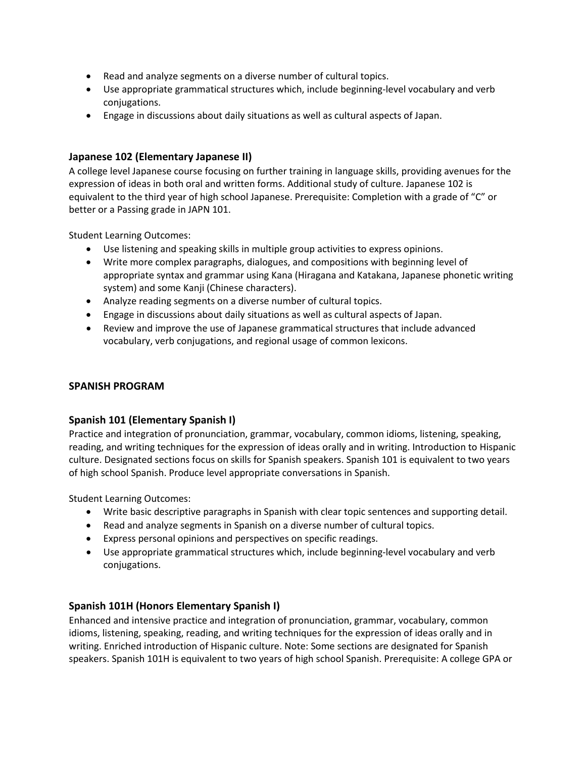- Read and analyze segments on a diverse number of cultural topics.
- Use appropriate grammatical structures which, include beginning-level vocabulary and verb conjugations.
- Engage in discussions about daily situations as well as cultural aspects of Japan.

#### **Japanese 102 (Elementary Japanese II)**

A college level Japanese course focusing on further training in language skills, providing avenues for the expression of ideas in both oral and written forms. Additional study of culture. Japanese 102 is equivalent to the third year of high school Japanese. Prerequisite: Completion with a grade of "C" or better or a Passing grade in JAPN 101.

Student Learning Outcomes:

- Use listening and speaking skills in multiple group activities to express opinions.
- Write more complex paragraphs, dialogues, and compositions with beginning level of appropriate syntax and grammar using Kana (Hiragana and Katakana, Japanese phonetic writing system) and some Kanji (Chinese characters).
- Analyze reading segments on a diverse number of cultural topics.
- Engage in discussions about daily situations as well as cultural aspects of Japan.
- Review and improve the use of Japanese grammatical structures that include advanced vocabulary, verb conjugations, and regional usage of common lexicons.

#### **SPANISH PROGRAM**

#### **Spanish 101 (Elementary Spanish I)**

Practice and integration of pronunciation, grammar, vocabulary, common idioms, listening, speaking, reading, and writing techniques for the expression of ideas orally and in writing. Introduction to Hispanic culture. Designated sections focus on skills for Spanish speakers. Spanish 101 is equivalent to two years of high school Spanish. Produce level appropriate conversations in Spanish.

Student Learning Outcomes:

- Write basic descriptive paragraphs in Spanish with clear topic sentences and supporting detail.
- Read and analyze segments in Spanish on a diverse number of cultural topics.
- Express personal opinions and perspectives on specific readings.
- Use appropriate grammatical structures which, include beginning-level vocabulary and verb conjugations.

## **Spanish 101H (Honors Elementary Spanish I)**

Enhanced and intensive practice and integration of pronunciation, grammar, vocabulary, common idioms, listening, speaking, reading, and writing techniques for the expression of ideas orally and in writing. Enriched introduction of Hispanic culture. Note: Some sections are designated for Spanish speakers. Spanish 101H is equivalent to two years of high school Spanish. Prerequisite: A college GPA or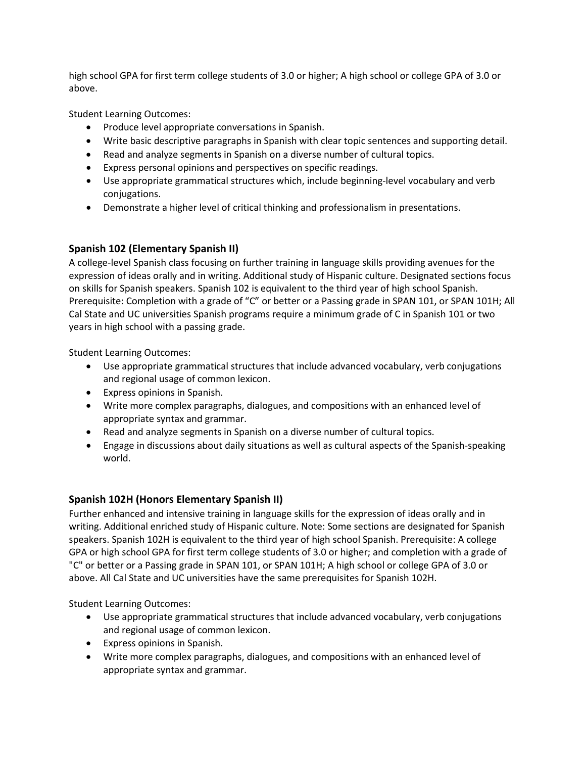high school GPA for first term college students of 3.0 or higher; A high school or college GPA of 3.0 or above.

Student Learning Outcomes:

- Produce level appropriate conversations in Spanish.
- Write basic descriptive paragraphs in Spanish with clear topic sentences and supporting detail.
- Read and analyze segments in Spanish on a diverse number of cultural topics.
- Express personal opinions and perspectives on specific readings.
- Use appropriate grammatical structures which, include beginning-level vocabulary and verb conjugations.
- Demonstrate a higher level of critical thinking and professionalism in presentations.

# **Spanish 102 (Elementary Spanish II)**

A college-level Spanish class focusing on further training in language skills providing avenues for the expression of ideas orally and in writing. Additional study of Hispanic culture. Designated sections focus on skills for Spanish speakers. Spanish 102 is equivalent to the third year of high school Spanish. Prerequisite: Completion with a grade of "C" or better or a Passing grade in SPAN 101, or SPAN 101H; All Cal State and UC universities Spanish programs require a minimum grade of C in Spanish 101 or two years in high school with a passing grade.

Student Learning Outcomes:

- Use appropriate grammatical structures that include advanced vocabulary, verb conjugations and regional usage of common lexicon.
- Express opinions in Spanish.
- Write more complex paragraphs, dialogues, and compositions with an enhanced level of appropriate syntax and grammar.
- Read and analyze segments in Spanish on a diverse number of cultural topics.
- Engage in discussions about daily situations as well as cultural aspects of the Spanish-speaking world.

# **Spanish 102H (Honors Elementary Spanish II)**

Further enhanced and intensive training in language skills for the expression of ideas orally and in writing. Additional enriched study of Hispanic culture. Note: Some sections are designated for Spanish speakers. Spanish 102H is equivalent to the third year of high school Spanish. Prerequisite: A college GPA or high school GPA for first term college students of 3.0 or higher; and completion with a grade of "C" or better or a Passing grade in SPAN 101, or SPAN 101H; A high school or college GPA of 3.0 or above. All Cal State and UC universities have the same prerequisites for Spanish 102H.

- Use appropriate grammatical structures that include advanced vocabulary, verb conjugations and regional usage of common lexicon.
- Express opinions in Spanish.
- Write more complex paragraphs, dialogues, and compositions with an enhanced level of appropriate syntax and grammar.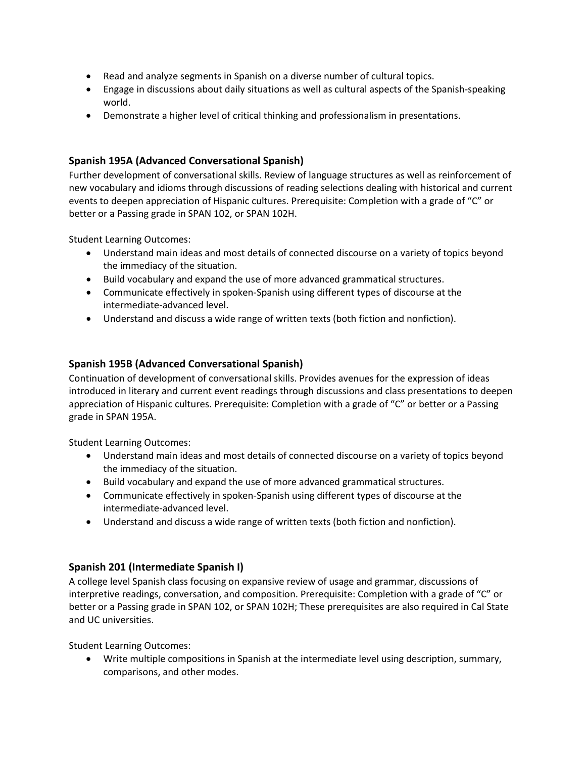- Read and analyze segments in Spanish on a diverse number of cultural topics.
- Engage in discussions about daily situations as well as cultural aspects of the Spanish-speaking world.
- Demonstrate a higher level of critical thinking and professionalism in presentations.

# **Spanish 195A (Advanced Conversational Spanish)**

Further development of conversational skills. Review of language structures as well as reinforcement of new vocabulary and idioms through discussions of reading selections dealing with historical and current events to deepen appreciation of Hispanic cultures. Prerequisite: Completion with a grade of "C" or better or a Passing grade in SPAN 102, or SPAN 102H.

Student Learning Outcomes:

- Understand main ideas and most details of connected discourse on a variety of topics beyond the immediacy of the situation.
- Build vocabulary and expand the use of more advanced grammatical structures.
- Communicate effectively in spoken-Spanish using different types of discourse at the intermediate-advanced level.
- Understand and discuss a wide range of written texts (both fiction and nonfiction).

# **Spanish 195B (Advanced Conversational Spanish)**

Continuation of development of conversational skills. Provides avenues for the expression of ideas introduced in literary and current event readings through discussions and class presentations to deepen appreciation of Hispanic cultures. Prerequisite: Completion with a grade of "C" or better or a Passing grade in SPAN 195A.

Student Learning Outcomes:

- Understand main ideas and most details of connected discourse on a variety of topics beyond the immediacy of the situation.
- Build vocabulary and expand the use of more advanced grammatical structures.
- Communicate effectively in spoken-Spanish using different types of discourse at the intermediate-advanced level.
- Understand and discuss a wide range of written texts (both fiction and nonfiction).

## **Spanish 201 (Intermediate Spanish I)**

A college level Spanish class focusing on expansive review of usage and grammar, discussions of interpretive readings, conversation, and composition. Prerequisite: Completion with a grade of "C" or better or a Passing grade in SPAN 102, or SPAN 102H; These prerequisites are also required in Cal State and UC universities.

Student Learning Outcomes:

• Write multiple compositions in Spanish at the intermediate level using description, summary, comparisons, and other modes.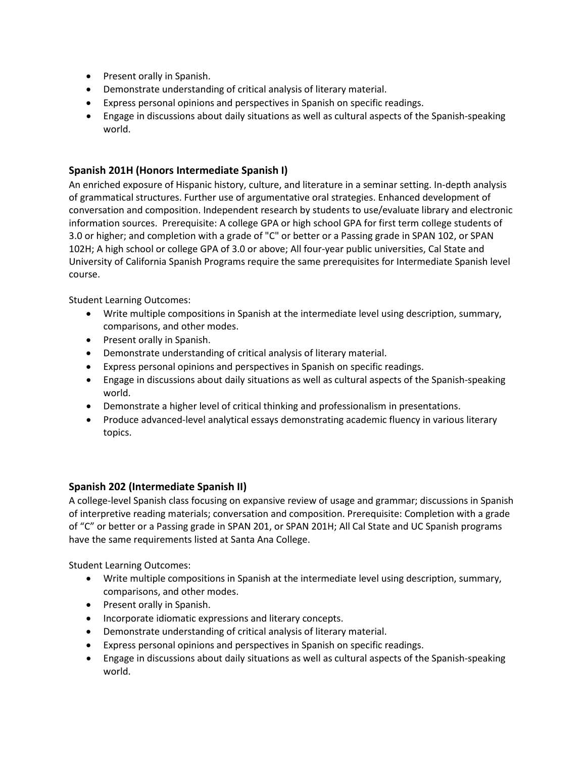- Present orally in Spanish.
- Demonstrate understanding of critical analysis of literary material.
- Express personal opinions and perspectives in Spanish on specific readings.
- Engage in discussions about daily situations as well as cultural aspects of the Spanish-speaking world.

## **Spanish 201H (Honors Intermediate Spanish I)**

An enriched exposure of Hispanic history, culture, and literature in a seminar setting. In-depth analysis of grammatical structures. Further use of argumentative oral strategies. Enhanced development of conversation and composition. Independent research by students to use/evaluate library and electronic information sources. Prerequisite: A college GPA or high school GPA for first term college students of 3.0 or higher; and completion with a grade of "C" or better or a Passing grade in SPAN 102, or SPAN 102H; A high school or college GPA of 3.0 or above; All four-year public universities, Cal State and University of California Spanish Programs require the same prerequisites for Intermediate Spanish level course.

Student Learning Outcomes:

- Write multiple compositions in Spanish at the intermediate level using description, summary, comparisons, and other modes.
- Present orally in Spanish.
- Demonstrate understanding of critical analysis of literary material.
- Express personal opinions and perspectives in Spanish on specific readings.
- Engage in discussions about daily situations as well as cultural aspects of the Spanish-speaking world.
- Demonstrate a higher level of critical thinking and professionalism in presentations.
- Produce advanced-level analytical essays demonstrating academic fluency in various literary topics.

## **Spanish 202 (Intermediate Spanish II)**

A college-level Spanish class focusing on expansive review of usage and grammar; discussions in Spanish of interpretive reading materials; conversation and composition. Prerequisite: Completion with a grade of "C" or better or a Passing grade in SPAN 201, or SPAN 201H; All Cal State and UC Spanish programs have the same requirements listed at Santa Ana College.

- Write multiple compositions in Spanish at the intermediate level using description, summary, comparisons, and other modes.
- Present orally in Spanish.
- Incorporate idiomatic expressions and literary concepts.
- Demonstrate understanding of critical analysis of literary material.
- Express personal opinions and perspectives in Spanish on specific readings.
- Engage in discussions about daily situations as well as cultural aspects of the Spanish-speaking world.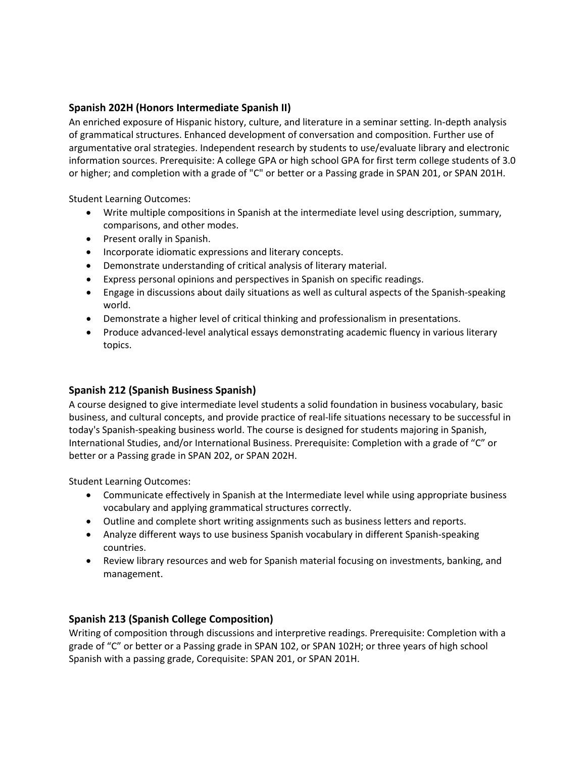# **Spanish 202H (Honors Intermediate Spanish II)**

An enriched exposure of Hispanic history, culture, and literature in a seminar setting. In-depth analysis of grammatical structures. Enhanced development of conversation and composition. Further use of argumentative oral strategies. Independent research by students to use/evaluate library and electronic information sources. Prerequisite: A college GPA or high school GPA for first term college students of 3.0 or higher; and completion with a grade of "C" or better or a Passing grade in SPAN 201, or SPAN 201H.

Student Learning Outcomes:

- Write multiple compositions in Spanish at the intermediate level using description, summary, comparisons, and other modes.
- Present orally in Spanish.
- Incorporate idiomatic expressions and literary concepts.
- Demonstrate understanding of critical analysis of literary material.
- Express personal opinions and perspectives in Spanish on specific readings.
- Engage in discussions about daily situations as well as cultural aspects of the Spanish-speaking world.
- Demonstrate a higher level of critical thinking and professionalism in presentations.
- Produce advanced-level analytical essays demonstrating academic fluency in various literary topics.

## **Spanish 212 (Spanish Business Spanish)**

A course designed to give intermediate level students a solid foundation in business vocabulary, basic business, and cultural concepts, and provide practice of real-life situations necessary to be successful in today's Spanish-speaking business world. The course is designed for students majoring in Spanish, International Studies, and/or International Business. Prerequisite: Completion with a grade of "C" or better or a Passing grade in SPAN 202, or SPAN 202H.

Student Learning Outcomes:

- Communicate effectively in Spanish at the Intermediate level while using appropriate business vocabulary and applying grammatical structures correctly.
- Outline and complete short writing assignments such as business letters and reports.
- Analyze different ways to use business Spanish vocabulary in different Spanish-speaking countries.
- Review library resources and web for Spanish material focusing on investments, banking, and management.

# **Spanish 213 (Spanish College Composition)**

Writing of composition through discussions and interpretive readings. Prerequisite: Completion with a grade of "C" or better or a Passing grade in SPAN 102, or SPAN 102H; or three years of high school Spanish with a passing grade, Corequisite: SPAN 201, or SPAN 201H.